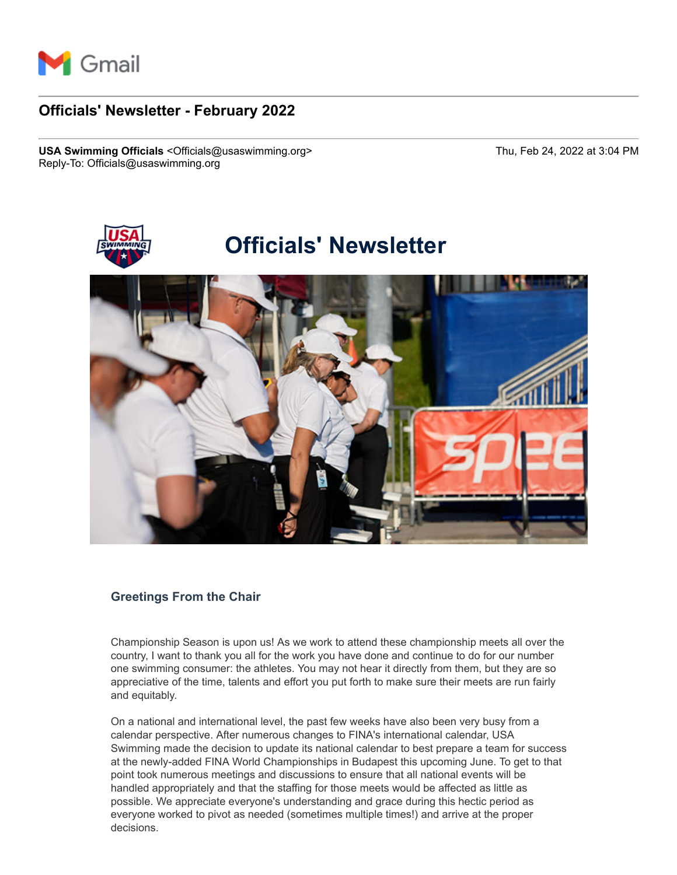

# **Officials' Newsletter - February 2022**

**USA Swimming Officials** <Officials@usaswimming.org> Thu, Feb 24, 2022 at 3:04 PM Reply-To: Officials@usaswimming.org



# **Greetings From the Chair**

Championship Season is upon us! As we work to attend these championship meets all over the country, I want to thank you all for the work you have done and continue to do for our number one swimming consumer: the athletes. You may not hear it directly from them, but they are so appreciative of the time, talents and effort you put forth to make sure their meets are run fairly and equitably.

On a national and international level, the past few weeks have also been very busy from a calendar perspective. After numerous changes to FINA's international calendar, USA Swimming made the decision to update its national calendar to best prepare a team for success at the newly-added FINA World Championships in Budapest this upcoming June. To get to that point took numerous meetings and discussions to ensure that all national events will be handled appropriately and that the staffing for those meets would be affected as little as possible. We appreciate everyone's understanding and grace during this hectic period as everyone worked to pivot as needed (sometimes multiple times!) and arrive at the proper decisions.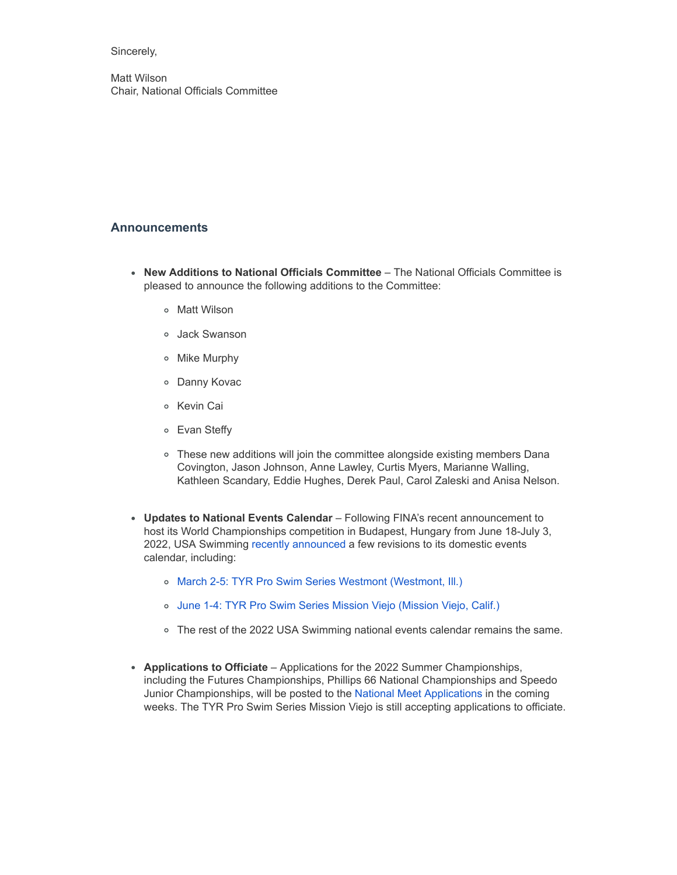#### Sincerely,

Matt Wilson Chair, National Officials Committee

# **Announcements**

- **New Additions to National Officials Committee** The National Officials Committee is pleased to announce the following additions to the Committee:
	- o Matt Wilson
	- Jack Swanson
	- Mike Murphy
	- Danny Kovac
	- Kevin Cai
	- Evan Steffy
	- These new additions will join the committee alongside existing members Dana Covington, Jason Johnson, Anne Lawley, Curtis Myers, Marianne Walling, Kathleen Scandary, Eddie Hughes, Derek Paul, Carol Zaleski and Anisa Nelson.
- **Updates to National Events Calendar** Following FINA's recent announcement to host its World Championships competition in Budapest, Hungary from June 18-July 3, 2022, USA Swimming [recently announced](http://pages.usaswimming.org/MjM2LUtDWi00OTUAAAGCzE62MDIOTtkB21gZpt-Fw9fRUevbHWeYa6Mcd2bD5xavS0b4t5oFJmTi7c6gc77SEZ3PUf4=) a few revisions to its domestic events calendar, including:
	- [March 2-5: TYR Pro Swim Series Westmont \(Westmont, Ill.\)](http://pages.usaswimming.org/MjM2LUtDWi00OTUAAAGCzE62MKDStSDLG5SgbM_VJGtUJXTOHv6m0WEhRAAEFTZCmyg5542p4fKHLhWNyS3KqCwAfBw=)
	- [June 1-4: TYR Pro Swim Series Mission Viejo \(Mission Viejo, Calif.\)](http://pages.usaswimming.org/MjM2LUtDWi00OTUAAAGCzE62MHyuBo5LKPS3YwamPhcvzzF0xJ9zd0j4BbfuFUUG55dkvFToWgGfM0t3S_dKI3f1h1Y=)
	- The rest of the 2022 USA Swimming national events calendar remains the same.
- **Applications to Officiate** Applications for the 2022 Summer Championships, including the Futures Championships, Phillips 66 National Championships and Speedo Junior Championships, will be posted to the [National Meet Applications](http://pages.usaswimming.org/MjM2LUtDWi00OTUAAAGCzE62MKDFdcWFoMhYl5KYU2KT_jasK3-TLpJCoYVDiS8NOLeNvm4WfN48JscvQQEucpZP1r8=) in the coming weeks. The TYR Pro Swim Series Mission Viejo is still accepting applications to officiate.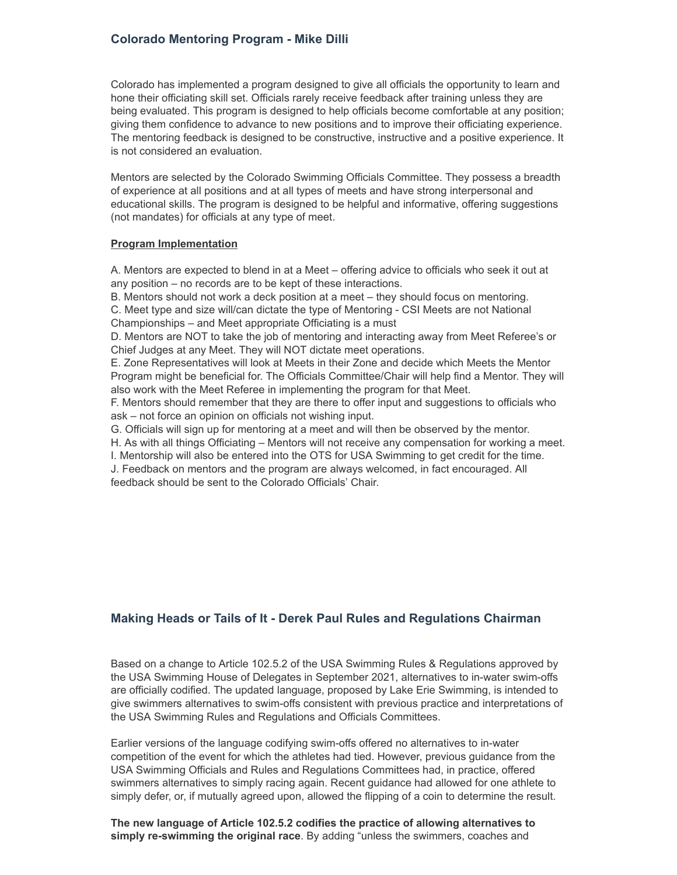# **Colorado Mentoring Program - Mike Dilli**

Colorado has implemented a program designed to give all officials the opportunity to learn and hone their officiating skill set. Officials rarely receive feedback after training unless they are being evaluated. This program is designed to help officials become comfortable at any position; giving them confidence to advance to new positions and to improve their officiating experience. The mentoring feedback is designed to be constructive, instructive and a positive experience. It is not considered an evaluation.

Mentors are selected by the Colorado Swimming Officials Committee. They possess a breadth of experience at all positions and at all types of meets and have strong interpersonal and educational skills. The program is designed to be helpful and informative, offering suggestions (not mandates) for officials at any type of meet.

#### **Program Implementation**

A. Mentors are expected to blend in at a Meet – offering advice to officials who seek it out at any position – no records are to be kept of these interactions.

B. Mentors should not work a deck position at a meet – they should focus on mentoring.

C. Meet type and size will/can dictate the type of Mentoring - CSI Meets are not National Championships – and Meet appropriate Officiating is a must

D. Mentors are NOT to take the job of mentoring and interacting away from Meet Referee's or Chief Judges at any Meet. They will NOT dictate meet operations.

E. Zone Representatives will look at Meets in their Zone and decide which Meets the Mentor Program might be beneficial for. The Officials Committee/Chair will help find a Mentor. They will also work with the Meet Referee in implementing the program for that Meet.

F. Mentors should remember that they are there to offer input and suggestions to officials who ask – not force an opinion on officials not wishing input.

G. Officials will sign up for mentoring at a meet and will then be observed by the mentor.

H. As with all things Officiating – Mentors will not receive any compensation for working a meet.

I. Mentorship will also be entered into the OTS for USA Swimming to get credit for the time.

J. Feedback on mentors and the program are always welcomed, in fact encouraged. All feedback should be sent to the Colorado Officials' Chair.

## **Making Heads or Tails of It - Derek Paul Rules and Regulations Chairman**

Based on a change to Article 102.5.2 of the USA Swimming Rules & Regulations approved by the USA Swimming House of Delegates in September 2021, alternatives to in-water swim-offs are officially codified. The updated language, proposed by Lake Erie Swimming, is intended to give swimmers alternatives to swim-offs consistent with previous practice and interpretations of the USA Swimming Rules and Regulations and Officials Committees.

Earlier versions of the language codifying swim-offs offered no alternatives to in-water competition of the event for which the athletes had tied. However, previous guidance from the USA Swimming Officials and Rules and Regulations Committees had, in practice, offered swimmers alternatives to simply racing again. Recent guidance had allowed for one athlete to simply defer, or, if mutually agreed upon, allowed the flipping of a coin to determine the result.

**The new language of Article 102.5.2 codifies the practice of allowing alternatives to simply re-swimming the original race**. By adding "unless the swimmers, coaches and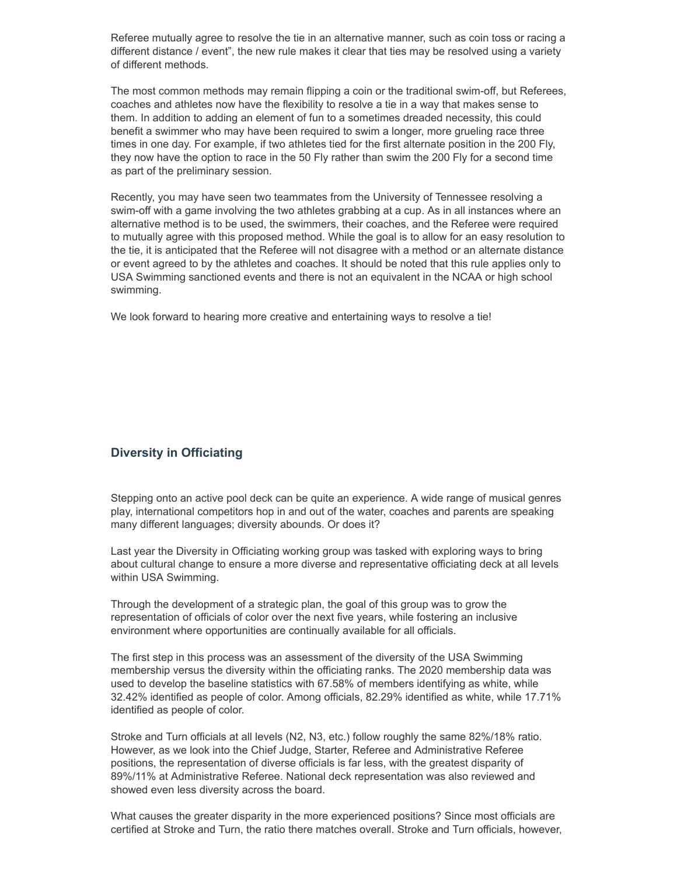Referee mutually agree to resolve the tie in an alternative manner, such as coin toss or racing a different distance / event", the new rule makes it clear that ties may be resolved using a variety of different methods.

The most common methods may remain flipping a coin or the traditional swim-off, but Referees, coaches and athletes now have the flexibility to resolve a tie in a way that makes sense to them. In addition to adding an element of fun to a sometimes dreaded necessity, this could benefit a swimmer who may have been required to swim a longer, more grueling race three times in one day. For example, if two athletes tied for the first alternate position in the 200 Fly, they now have the option to race in the 50 Fly rather than swim the 200 Fly for a second time as part of the preliminary session.

Recently, you may have seen two teammates from the University of Tennessee resolving a swim-off with a game involving the two athletes grabbing at a cup. As in all instances where an alternative method is to be used, the swimmers, their coaches, and the Referee were required to mutually agree with this proposed method. While the goal is to allow for an easy resolution to the tie, it is anticipated that the Referee will not disagree with a method or an alternate distance or event agreed to by the athletes and coaches. It should be noted that this rule applies only to USA Swimming sanctioned events and there is not an equivalent in the NCAA or high school swimming.

We look forward to hearing more creative and entertaining ways to resolve a tie!

## **Diversity in Officiating**

Stepping onto an active pool deck can be quite an experience. A wide range of musical genres play, international competitors hop in and out of the water, coaches and parents are speaking many different languages; diversity abounds. Or does it?

Last year the Diversity in Officiating working group was tasked with exploring ways to bring about cultural change to ensure a more diverse and representative officiating deck at all levels within USA Swimming.

Through the development of a strategic plan, the goal of this group was to grow the representation of officials of color over the next five years, while fostering an inclusive environment where opportunities are continually available for all officials.

The first step in this process was an assessment of the diversity of the USA Swimming membership versus the diversity within the officiating ranks. The 2020 membership data was used to develop the baseline statistics with 67.58% of members identifying as white, while 32.42% identified as people of color. Among officials, 82.29% identified as white, while 17.71% identified as people of color.

Stroke and Turn officials at all levels (N2, N3, etc.) follow roughly the same 82%/18% ratio. However, as we look into the Chief Judge, Starter, Referee and Administrative Referee positions, the representation of diverse officials is far less, with the greatest disparity of 89%/11% at Administrative Referee. National deck representation was also reviewed and showed even less diversity across the board.

What causes the greater disparity in the more experienced positions? Since most officials are certified at Stroke and Turn, the ratio there matches overall. Stroke and Turn officials, however,